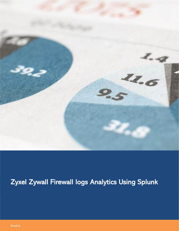

# Zyxel Zywall Firewall logs Analytics Using Splunk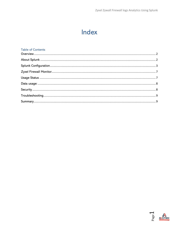# Index

#### **Table of Contents**

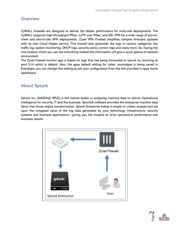### <span id="page-2-0"></span>**Overview**

ZyWALL firewalls are designed to deliver the fastest performance for multi-site deployments. The ZyWALL supports high-throughput IPSec, L2TP over IPSec, and SSL VPN for a wide range of site-toclient and site-to-site VPN deployments. Zyxel VPN Firewall simplifies complex firmware updates with its new Cloud Helper service. This firewall also generates the logs in various categories like traffic log, system monitoring, DHCP logs, security policy control logs and many more. So, having the one location where you can see everything related this information will give a quick glance of network environment.

The Zyxel firewall monitor app is based on logs that has being forwarded to splunk by receiving at port 514 which is default. Also, the apps default setting for index, sourcetype is being saved in Eventtype, you can change this setting as per your configuration from the link provided in apps home dashboard.

## <span id="page-2-1"></span>About Splunk

Splunk Inc. (NASDAQ: SPLK) is the market leader in analyzing machine data to deliver Operational Intelligence for security, IT and the business. Splunk® software provides the enterprise machine data fabric that drives digital transformation. Splunk Enterprise makes it simple to collect, analyze and act upon the untapped value of the big data generated by your technology infrastructure, security systems and business applications—giving you the insights to drive operational performance and business results.



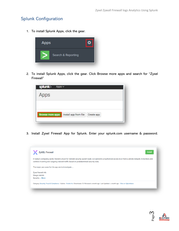### <span id="page-3-0"></span>Splunk Configuration

1. To install Splunk Apps, click the gear.



2. To install Splunk Apps, click the gear. Click Browse more apps and search for "Zyxel Firewall"

| Apps |                                                  |            |  |
|------|--------------------------------------------------|------------|--|
|      |                                                  |            |  |
|      | <b>Browse more apps</b><br>Install app from file | Create app |  |

3. Install Zyxel Firewall App for Splunk. Enter your splunk.com username & password.



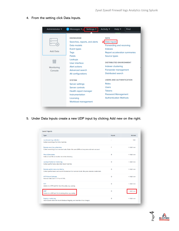

4. From the setting click Data Inputs.

5. Under Data Inputs create a new UDP input by clicking Add new on the right.

| Type                                                                                                                       | <b>Inputs</b> | <b>Actions</b> |
|----------------------------------------------------------------------------------------------------------------------------|---------------|----------------|
| Local event log collection<br>Collect event logs from this machine.                                                        |               | Edit           |
| Remote event log collections<br>Collect event logs from remote hosts. Note: this uses WMI and requires a domain account.   | $\mathbf{1}$  | $+$ Add new    |
| <b>Files &amp; Directories</b><br>Index a local file or monitor an entire directory.                                       | 9             | + Add new      |
| Local performance monitoring<br>Collect performance data from local machine.                                               | $\Omega$      | $+$ Add new    |
| Remote performance monitoring<br>Collect performance and event information from remote hosts. Requires domain credentials. | $\Omega$      | $+$ Add new    |
| <b>HTTP Event Collector</b><br>Receive data over HTTP or HTTPS.                                                            | $\Omega$      | $+$ Add new    |
| <b>TCP</b><br>Listen on a TCP port for incoming data, e.g. syslog.                                                         | $\Omega$      | $+$ Add new    |
| <b>UDP</b><br>Listen on a UDP port for incoming data, e.g. syslog.                                                         | $\Omega$      | + Add new      |
| <b>Registry monitoring</b>                                                                                                 | $\Omega$      | $+$ Add new    |

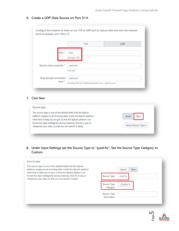|                                    | <b>TCP</b>            | <b>UDP</b> |
|------------------------------------|-----------------------|------------|
| Port?                              | 514<br>Example: 514   |            |
| Source name override?              | optional<br>host:port |            |
| Only accept connection<br>from $?$ | optional              |            |

#### 6. Create a UDP Data Source on Port 514.

#### 7. Click New

#### 8. Under Input Settings set the Source Type to "zyxel-fw". Set the Source Type Category to Custom.

| Source type<br>The source type is one of the default fields that the Splunk<br>platform assigns to all incoming data. It tells the Splunk platform                                           | <b>Select</b><br><b>New</b>                            |
|----------------------------------------------------------------------------------------------------------------------------------------------------------------------------------------------|--------------------------------------------------------|
| what kind of data you've got, so that the Splunk platform can<br>format the data intelligently during indexing. And it's a way to<br>categorize your data, so that you can search it easily. | Source Type<br>zyxel-fw                                |
|                                                                                                                                                                                              | Source Type<br>Custom $\blacktriangledown$<br>Category |
|                                                                                                                                                                                              | Source Type<br>Description                             |

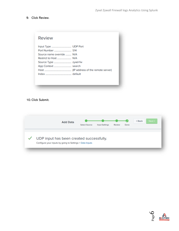#### 9. Click Review.

| <b>Review</b>                   |  |
|---------------------------------|--|
| Source name override ______ N/A |  |

#### 10. Click Submit.

| <b>Add Data</b>                                                                                      | Select Source | <b>Input Settings</b> | Review | Done | <b>Back</b> | Next > |
|------------------------------------------------------------------------------------------------------|---------------|-----------------------|--------|------|-------------|--------|
| UDP input has been created successfully.<br>Configure your inputs by going to Settings > Data Inputs |               |                       |        |      |             |        |

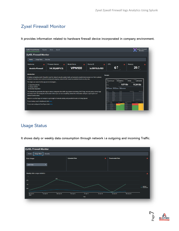# <span id="page-7-0"></span>Zyxel Firewall Monitor

It provides information related to hardware firewall device incorporated in company environment.

| <b>ZyXEL Firewall Monitor</b><br><b>Reports</b><br><b>Alerts</b><br>Search                                                                                                                                                                               | ZyXEL Firewall<br><b>Monitor</b>                                                                                                                                                                                                                                                                     |
|----------------------------------------------------------------------------------------------------------------------------------------------------------------------------------------------------------------------------------------------------------|------------------------------------------------------------------------------------------------------------------------------------------------------------------------------------------------------------------------------------------------------------------------------------------------------|
| <b>ZyXEL Firewall Monitor</b>                                                                                                                                                                                                                            |                                                                                                                                                                                                                                                                                                      |
| <b>Usage Stats</b><br>Security<br>Home                                                                                                                                                                                                                   |                                                                                                                                                                                                                                                                                                      |
| <b>Firmware Version</b><br><b>Model Name</b><br>Device ID<br>Hostname<br>$\Lambda$                                                                                                                                                                       | CPU<br>Memory<br>A                                                                                                                                                                                                                                                                                   |
| <b>VPN100</b><br>V4.35(ABFV.3)<br><b>Avotrix-Firewall</b>                                                                                                                                                                                                | 6 <sup>7</sup><br>25.7<br>bc9911b3cf60                                                                                                                                                                                                                                                               |
| Introduction:                                                                                                                                                                                                                                            | Sample:                                                                                                                                                                                                                                                                                              |
| In todays computing world, firewall is must for network security system build, as it prevents unauthorized access to or from a private<br>network. It monitors and controls incoming and outgoing network traffic based on predetermined security rules. | ----<br><b>Program Marine</b><br>A Breathway<br>a Immer                                                                                                                                                                                                                                              |
| The major use cases for this app are to investigate                                                                                                                                                                                                      | V10.02(ABFV.2)<br><b>VPN100</b><br><b>Avotrix-Firewall</b><br>bc9911b3cf60<br><b>Sale Library</b>                                                                                                                                                                                                    |
| 1. Zyxel firewall info                                                                                                                                                                                                                                   | 1.07 Gb<br>11.24 Gb<br><b>Biographic</b><br><b>Service</b>                                                                                                                                                                                                                                           |
| 2. Usage statistic                                                                                                                                                                                                                                       | <b>ANTICATO</b>                                                                                                                                                                                                                                                                                      |
| 3. Security inspection                                                                                                                                                                                                                                   |                                                                                                                                                                                                                                                                                                      |
| This firewall also generates the logs in various categories like traffic log, system monitoring, DHCP logs, security policy control logs                                                                                                                 | <b>Description</b><br><b>Share</b><br>Down Age<br><b>Palama Suburnita</b><br>Collaboral Traffic in Initi                                                                                                                                                                                             |
| and many more. So having the one location where you can see everything related this information will give a quick glance of                                                                                                                              | <b>101 104 8 10</b><br><b>Sharehouse</b><br><b>Service Service</b><br>$\sim$<br>$\sim$ 40<br>10.101.8.102<br><b>Kidener 39</b><br>Server Jean<br>10.10.2.10<br><b>State And</b><br><b>Server have</b><br>$\sim$                                                                                      |
| network environment.                                                                                                                                                                                                                                     | 10.151.8.143<br>Stone And<br><b>Server Jens</b><br>$\sim$<br><b>CO 100 8 140</b><br><b>School School of</b><br><b>Server Jane</b><br>4.441<br><b>10.16.815</b><br><b>Solution State</b><br>Server Jan<br>$\sim$                                                                                      |
| Idea is to use that logs and analyze to get insight of network activity and possible threats to it Using Splunk                                                                                                                                          | 00.166.9.152<br><b>Service Inc.</b><br>10.166.9.167<br><b>A.M.</b><br><b>Mark 365</b><br><b>Server Jers</b>                                                                                                                                                                                          |
| To see lookup used in dashboard click here.                                                                                                                                                                                                              | tes ser a ser<br><b>Service Service</b><br>14.40<br><b>ALCO</b><br>10.101.0.101<br>0.01<br><b>Service Jane</b><br>14.00<br><b>Sales allowance from autobio</b>                                                                                                                                       |
| To see and configured EventTypes click here.                                                                                                                                                                                                             | Lock P address for Presid<br>Source Rive<br><b>Bonnet &amp; England P.A.</b><br>No of News 4<br><b>Rocat +</b><br>Abenci 4<br>103.50 A.100<br><b>KINNER</b><br>24.513.151<br>16 apr st<br>10.50 A.M<br>0.03.19.96<br><b>Link</b><br>10.20.20.20<br>$\sim$<br><b>With an any</b><br><b>THE PERSON</b> |

## <span id="page-7-1"></span>Usage Status

It shows daily or weekly data consumption through network i.e outgoing and incoming Traffic.



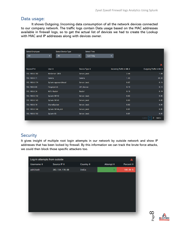#### <span id="page-8-0"></span>Data usage:

 It shows Outgoing /incoming data consumption of all the network devices connected to our company network. The traffic logs contain Data usage based on the MAC addresses available in firewall logs, so to get the actual list of devices we had to create the Lookup with MAC and IP addresses along with devices owner.

| <b>Select Employee</b> | Select Device Type     | <b>Select Time</b> |                          |                          |
|------------------------|------------------------|--------------------|--------------------------|--------------------------|
| All                    | All<br>۰.              | Last 1 day<br>۰.   |                          |                          |
|                        |                        |                    |                          |                          |
|                        |                        |                    |                          | A                        |
| Device IP ≑            | User $\Leftrightarrow$ | Device Type ≑      | Incoming Traffic in Mb ≑ | Outgoing Traffic in Mb ≑ |
| 192.168.0.102          | WinServer 2016         | Server_host        | 2.44                     | 1.60                     |
| 192.168.0.71           | Camera                 | Camera             | 1.43                     | 28.22                    |
| 192.168.0.174          | Splunk-appsearchhead   | Server_host        | 0.67                     | 0.15                     |
| 192.168.0.86           | Fingerprint            | IOT_Device         | 0.19                     | 0.14                     |
| 192.168.0.34           | Wifi-Router            | Router             | 0.18                     | 0.10                     |
| 192.168.0.142          | Splunk-SH142           | Server_host        | 0.03                     | 0.02                     |
| 192.168.0.143          | Splunk-SH143           | Server_host        | 0.03                     | 0.02                     |
| 192.168.0.10           | SharedSystem           | Server_host        | 0.02                     | 0.01                     |
| 192.168.0.144          | Splunk-SH144_old       | Server_host        | 0.01                     | 0.01                     |
| 192.168.0.163          | Splunk-DS              | Server_host        | 0.01                     | 0.01                     |
|                        |                        |                    |                          | $2$ next »<br>« prev     |

### <span id="page-8-1"></span>**Security**

It gives insight of multiple root login attempts in our network by outside network and show IP addresses that has been locked by firewall. By this information we can track the brute force attacks, we could then block those specific attackers too.

| Log-in attempts from outside<br>A |                      |                |                |           |  |
|-----------------------------------|----------------------|----------------|----------------|-----------|--|
| Username $\div$                   | Source IP $\diamond$ | Country $\div$ | Attempt $\div$ | Percent ≑ |  |
| ashitosh                          | 202.134.170.60       | India          | 1              | 100.00 %  |  |
|                                   |                      |                |                |           |  |
|                                   |                      |                |                |           |  |
|                                   |                      |                |                |           |  |
|                                   |                      |                |                |           |  |
|                                   |                      |                |                |           |  |
|                                   |                      |                |                |           |  |
|                                   |                      |                |                |           |  |
|                                   |                      |                |                |           |  |